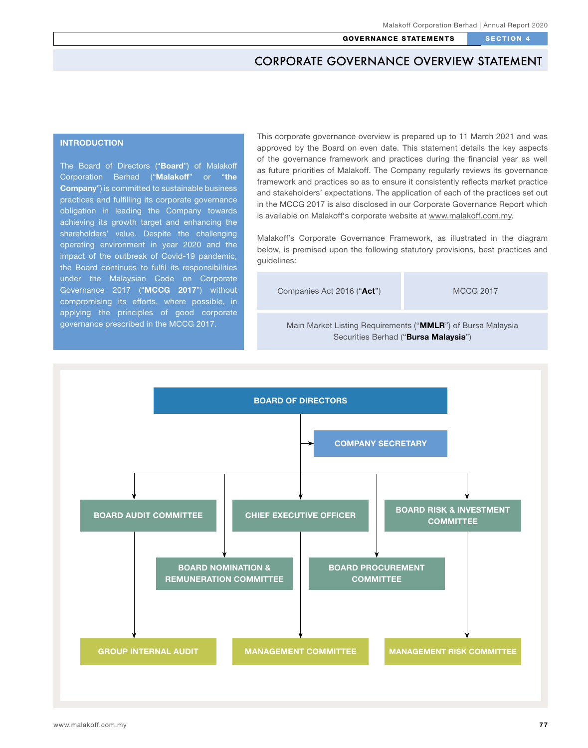# **INTRODUCTION**

The Board of Directors ("Board") of Malakoff Corporation Berhad ("Malakoff" or "the Company") is committed to sustainable business practices and fulfilling its corporate governance obligation in leading the Company towards achieving its growth target and enhancing the shareholders' value. Despite the challenging operating environment in year 2020 and the impact of the outbreak of Covid-19 pandemic, the Board continues to fulfil its responsibilities under the Malaysian Code on Corporate Governance 2017 ("MCCG 2017") without compromising its efforts, where possible, in applying the principles of good corporate governance prescribed in the MCCG 2017. Main Market Listing Requirements ("MMLR") of Bursa Malaysia

This corporate governance overview is prepared up to 11 March 2021 and was approved by the Board on even date. This statement details the key aspects of the governance framework and practices during the financial year as well as future priorities of Malakoff. The Company regularly reviews its governance framework and practices so as to ensure it consistently reflects market practice and stakeholders' expectations. The application of each of the practices set out in the MCCG 2017 is also disclosed in our Corporate Governance Report which is available on Malakoff's corporate website at www.malakoff.com.my.

Malakoff's Corporate Governance Framework, as illustrated in the diagram below, is premised upon the following statutory provisions, best practices and guidelines:

Companies Act 2016 ("Act") MCCG 2017

Securities Berhad ("Bursa Malaysia")

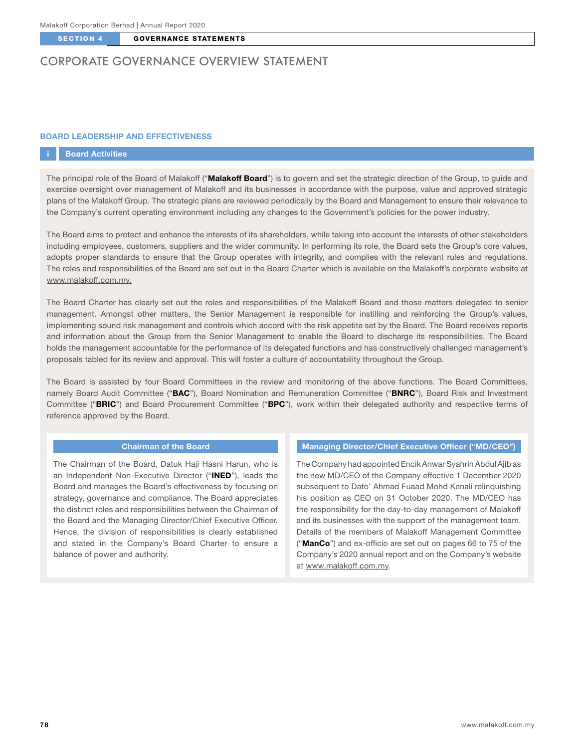# CORPORATE GOVERNANCE OVERVIEW STATEMENT

## BOARD LEADERSHIP AND EFFECTIVENESS

## **Board Activities**

The principal role of the Board of Malakoff ("**Malakoff Board**") is to govern and set the strategic direction of the Group, to guide and exercise oversight over management of Malakoff and its businesses in accordance with the purpose, value and approved strategic plans of the Malakoff Group. The strategic plans are reviewed periodically by the Board and Management to ensure their relevance to the Company's current operating environment including any changes to the Government's policies for the power industry.

The Board aims to protect and enhance the interests of its shareholders, while taking into account the interests of other stakeholders including employees, customers, suppliers and the wider community. In performing its role, the Board sets the Group's core values, adopts proper standards to ensure that the Group operates with integrity, and complies with the relevant rules and regulations. The roles and responsibilities of the Board are set out in the Board Charter which is available on the Malakoff's corporate website at www.malakoff.com.my.

The Board Charter has clearly set out the roles and responsibilities of the Malakoff Board and those matters delegated to senior management. Amongst other matters, the Senior Management is responsible for instilling and reinforcing the Group's values, implementing sound risk management and controls which accord with the risk appetite set by the Board. The Board receives reports and information about the Group from the Senior Management to enable the Board to discharge its responsibilities. The Board holds the management accountable for the performance of its delegated functions and has constructively challenged management's proposals tabled for its review and approval. This will foster a culture of accountability throughout the Group.

The Board is assisted by four Board Committees in the review and monitoring of the above functions. The Board Committees, namely Board Audit Committee ("BAC"), Board Nomination and Remuneration Committee ("BNRC"), Board Risk and Investment Committee ("BRIC") and Board Procurement Committee ("BPC"), work within their delegated authority and respective terms of reference approved by the Board.

## Chairman of the Board

The Chairman of the Board, Datuk Haji Hasni Harun, who is an Independent Non-Executive Director ("INED"), leads the Board and manages the Board's effectiveness by focusing on strategy, governance and compliance. The Board appreciates the distinct roles and responsibilities between the Chairman of the Board and the Managing Director/Chief Executive Officer. Hence, the division of responsibilities is clearly established and stated in the Company's Board Charter to ensure a balance of power and authority.

### Managing Director/Chief Executive Officer ("MD/CEO")

The Company had appointed Encik Anwar Syahrin Abdul Ajib as the new MD/CEO of the Company effective 1 December 2020 subsequent to Dato' Ahmad Fuaad Mohd Kenali relinquishing his position as CEO on 31 October 2020. The MD/CEO has the responsibility for the day-to-day management of Malakoff and its businesses with the support of the management team. Details of the members of Malakoff Management Committee ("ManCo") and ex-officio are set out on pages 66 to 75 of the Company's 2020 annual report and on the Company's website at www.malakoff.com.my.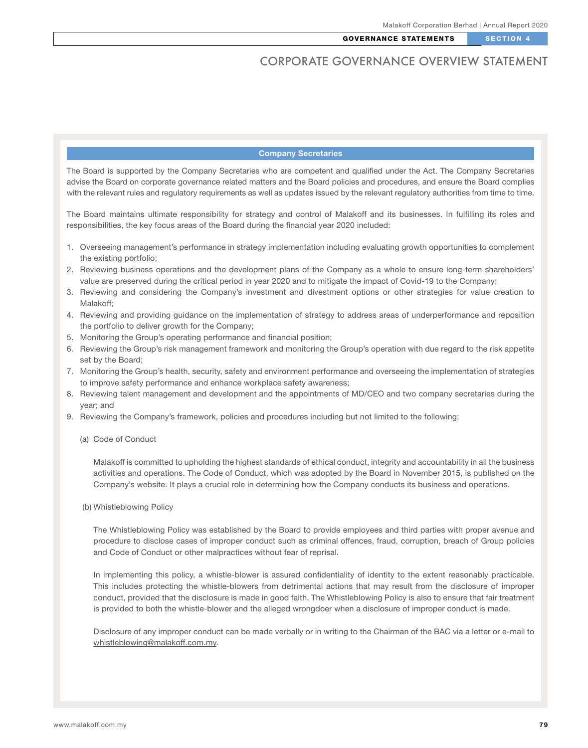## Company Secretaries

The Board is supported by the Company Secretaries who are competent and qualified under the Act. The Company Secretaries advise the Board on corporate governance related matters and the Board policies and procedures, and ensure the Board complies with the relevant rules and regulatory requirements as well as updates issued by the relevant regulatory authorities from time to time.

The Board maintains ultimate responsibility for strategy and control of Malakoff and its businesses. In fulfilling its roles and responsibilities, the key focus areas of the Board during the financial year 2020 included:

- 1. Overseeing management's performance in strategy implementation including evaluating growth opportunities to complement the existing portfolio;
- 2. Reviewing business operations and the development plans of the Company as a whole to ensure long-term shareholders' value are preserved during the critical period in year 2020 and to mitigate the impact of Covid-19 to the Company;
- 3. Reviewing and considering the Company's investment and divestment options or other strategies for value creation to Malakoff;
- 4. Reviewing and providing guidance on the implementation of strategy to address areas of underperformance and reposition the portfolio to deliver growth for the Company;
- 5. Monitoring the Group's operating performance and financial position;
- 6. Reviewing the Group's risk management framework and monitoring the Group's operation with due regard to the risk appetite set by the Board;
- 7. Monitoring the Group's health, security, safety and environment performance and overseeing the implementation of strategies to improve safety performance and enhance workplace safety awareness;
- 8. Reviewing talent management and development and the appointments of MD/CEO and two company secretaries during the year; and
- 9. Reviewing the Company's framework, policies and procedures including but not limited to the following:
	- (a) Code of Conduct

Malakoff is committed to upholding the highest standards of ethical conduct, integrity and accountability in all the business activities and operations. The Code of Conduct, which was adopted by the Board in November 2015, is published on the Company's website. It plays a crucial role in determining how the Company conducts its business and operations.

#### (b) Whistleblowing Policy

The Whistleblowing Policy was established by the Board to provide employees and third parties with proper avenue and procedure to disclose cases of improper conduct such as criminal offences, fraud, corruption, breach of Group policies and Code of Conduct or other malpractices without fear of reprisal.

In implementing this policy, a whistle-blower is assured confidentiality of identity to the extent reasonably practicable. This includes protecting the whistle-blowers from detrimental actions that may result from the disclosure of improper conduct, provided that the disclosure is made in good faith. The Whistleblowing Policy is also to ensure that fair treatment is provided to both the whistle-blower and the alleged wrongdoer when a disclosure of improper conduct is made.

Disclosure of any improper conduct can be made verbally or in writing to the Chairman of the BAC via a letter or e-mail to whistleblowing@malakoff.com.my.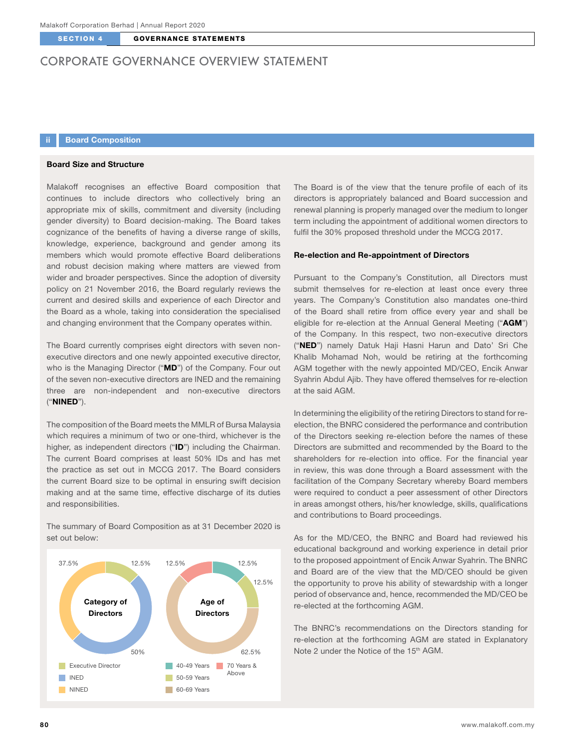# CORPORATE GOVERNANCE OVERVIEW STATEMENT

# **Board Composition**

## Board Size and Structure

Malakoff recognises an effective Board composition that continues to include directors who collectively bring an appropriate mix of skills, commitment and diversity (including gender diversity) to Board decision-making. The Board takes cognizance of the benefits of having a diverse range of skills, knowledge, experience, background and gender among its members which would promote effective Board deliberations and robust decision making where matters are viewed from wider and broader perspectives. Since the adoption of diversity policy on 21 November 2016, the Board regularly reviews the current and desired skills and experience of each Director and the Board as a whole, taking into consideration the specialised and changing environment that the Company operates within.

The Board currently comprises eight directors with seven nonexecutive directors and one newly appointed executive director, who is the Managing Director ("MD") of the Company. Four out of the seven non-executive directors are INED and the remaining three are non-independent and non-executive directors ("NINED").

The composition of the Board meets the MMLR of Bursa Malaysia which requires a minimum of two or one-third, whichever is the higher, as independent directors ("ID") including the Chairman. The current Board comprises at least 50% IDs and has met the practice as set out in MCCG 2017. The Board considers the current Board size to be optimal in ensuring swift decision making and at the same time, effective discharge of its duties and responsibilities.

The summary of Board Composition as at 31 December 2020 is set out below:



The Board is of the view that the tenure profile of each of its directors is appropriately balanced and Board succession and renewal planning is properly managed over the medium to longer term including the appointment of additional women directors to fulfil the 30% proposed threshold under the MCCG 2017.

## Re-election and Re-appointment of Directors

Pursuant to the Company's Constitution, all Directors must submit themselves for re-election at least once every three years. The Company's Constitution also mandates one-third of the Board shall retire from office every year and shall be eligible for re-election at the Annual General Meeting ("AGM") of the Company. In this respect, two non-executive directors ("NED") namely Datuk Haji Hasni Harun and Dato' Sri Che Khalib Mohamad Noh, would be retiring at the forthcoming AGM together with the newly appointed MD/CEO, Encik Anwar Syahrin Abdul Ajib. They have offered themselves for re-election at the said AGM.

In determining the eligibility of the retiring Directors to stand for reelection, the BNRC considered the performance and contribution of the Directors seeking re-election before the names of these Directors are submitted and recommended by the Board to the shareholders for re-election into office. For the financial year in review, this was done through a Board assessment with the facilitation of the Company Secretary whereby Board members were required to conduct a peer assessment of other Directors in areas amongst others, his/her knowledge, skills, qualifications and contributions to Board proceedings.

As for the MD/CEO, the BNRC and Board had reviewed his educational background and working experience in detail prior to the proposed appointment of Encik Anwar Syahrin. The BNRC and Board are of the view that the MD/CEO should be given the opportunity to prove his ability of stewardship with a longer period of observance and, hence, recommended the MD/CEO be re-elected at the forthcoming AGM.

The BNRC's recommendations on the Directors standing for re-election at the forthcoming AGM are stated in Explanatory Note 2 under the Notice of the 15<sup>th</sup> AGM.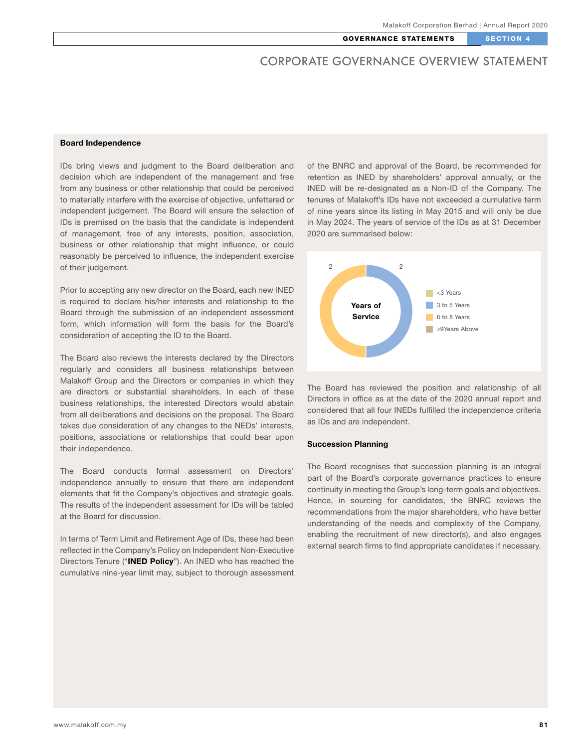### Board Independence

IDs bring views and judgment to the Board deliberation and decision which are independent of the management and free from any business or other relationship that could be perceived to materially interfere with the exercise of objective, unfettered or independent judgement. The Board will ensure the selection of IDs is premised on the basis that the candidate is independent of management, free of any interests, position, association, business or other relationship that might influence, or could reasonably be perceived to influence, the independent exercise of their judgement.

Prior to accepting any new director on the Board, each new INED is required to declare his/her interests and relationship to the Board through the submission of an independent assessment form, which information will form the basis for the Board's consideration of accepting the ID to the Board.

The Board also reviews the interests declared by the Directors regularly and considers all business relationships between Malakoff Group and the Directors or companies in which they are directors or substantial shareholders. In each of these business relationships, the interested Directors would abstain from all deliberations and decisions on the proposal. The Board takes due consideration of any changes to the NEDs' interests, positions, associations or relationships that could bear upon their independence.

The Board conducts formal assessment on Directors' independence annually to ensure that there are independent elements that fit the Company's objectives and strategic goals. The results of the independent assessment for IDs will be tabled at the Board for discussion.

In terms of Term Limit and Retirement Age of IDs, these had been reflected in the Company's Policy on Independent Non-Executive Directors Tenure ("INED Policy"). An INED who has reached the cumulative nine-year limit may, subject to thorough assessment of the BNRC and approval of the Board, be recommended for retention as INED by shareholders' approval annually, or the INED will be re-designated as a Non-ID of the Company. The tenures of Malakoff's IDs have not exceeded a cumulative term of nine years since its listing in May 2015 and will only be due in May 2024. The years of service of the IDs as at 31 December 2020 are summarised below:



The Board has reviewed the position and relationship of all Directors in office as at the date of the 2020 annual report and considered that all four INEDs fulfilled the independence criteria as IDs and are independent.

#### Succession Planning

The Board recognises that succession planning is an integral part of the Board's corporate governance practices to ensure continuity in meeting the Group's long-term goals and objectives. Hence, in sourcing for candidates, the BNRC reviews the recommendations from the major shareholders, who have better understanding of the needs and complexity of the Company, enabling the recruitment of new director(s), and also engages external search firms to find appropriate candidates if necessary.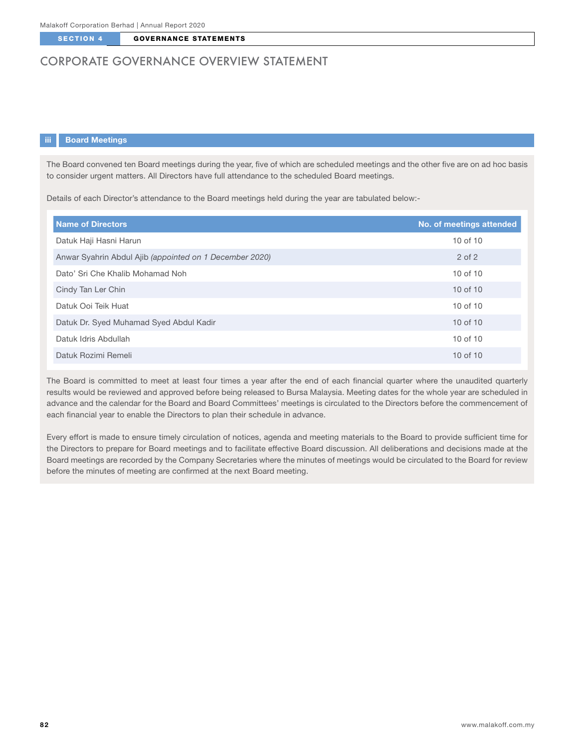# CORPORATE GOVERNANCE OVERVIEW STATEMENT

## iii Board Meetings

The Board convened ten Board meetings during the year, five of which are scheduled meetings and the other five are on ad hoc basis to consider urgent matters. All Directors have full attendance to the scheduled Board meetings.

Details of each Director's attendance to the Board meetings held during the year are tabulated below:-

| <b>Name of Directors</b>                                | No. of meetings attended |
|---------------------------------------------------------|--------------------------|
| Datuk Haji Hasni Harun                                  | 10 of 10                 |
| Anwar Syahrin Abdul Ajib (appointed on 1 December 2020) | $2$ of $2$               |
| Dato' Sri Che Khalib Mohamad Noh                        | 10 of 10                 |
| Cindy Tan Ler Chin                                      | $10$ of $10$             |
| Datuk Ooi Teik Huat                                     | 10 of 10                 |
| Datuk Dr. Syed Muhamad Syed Abdul Kadir                 | $10$ of $10$             |
| Datuk Idris Abdullah                                    | 10 of 10                 |
| Datuk Rozimi Remeli                                     | 10 of 10                 |

The Board is committed to meet at least four times a year after the end of each financial quarter where the unaudited quarterly results would be reviewed and approved before being released to Bursa Malaysia. Meeting dates for the whole year are scheduled in advance and the calendar for the Board and Board Committees' meetings is circulated to the Directors before the commencement of each financial year to enable the Directors to plan their schedule in advance.

Every effort is made to ensure timely circulation of notices, agenda and meeting materials to the Board to provide sufficient time for the Directors to prepare for Board meetings and to facilitate effective Board discussion. All deliberations and decisions made at the Board meetings are recorded by the Company Secretaries where the minutes of meetings would be circulated to the Board for review before the minutes of meeting are confirmed at the next Board meeting.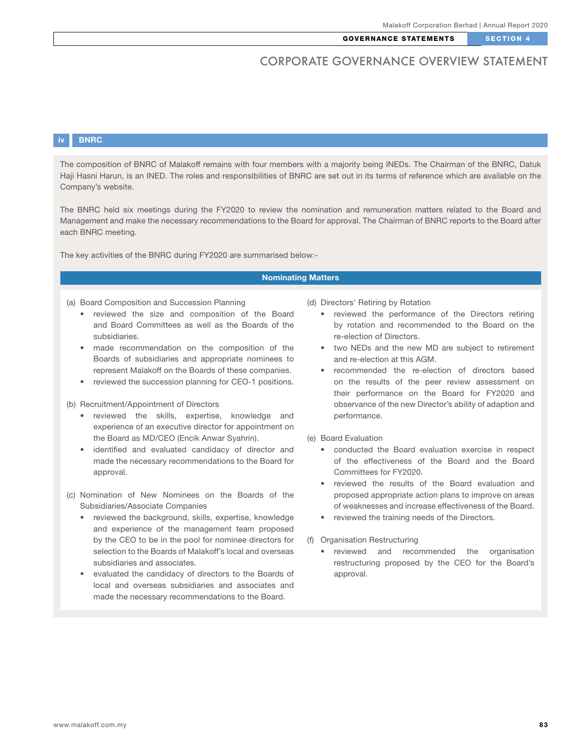# iv BNRC

The composition of BNRC of Malakoff remains with four members with a majority being INEDs. The Chairman of the BNRC, Datuk Haji Hasni Harun, is an INED. The roles and responsibilities of BNRC are set out in its terms of reference which are available on the Company's website.

The BNRC held six meetings during the FY2020 to review the nomination and remuneration matters related to the Board and Management and make the necessary recommendations to the Board for approval. The Chairman of BNRC reports to the Board after each BNRC meeting.

The key activities of the BNRC during FY2020 are summarised below:-

## Nominating Matters

- (a) Board Composition and Succession Planning
	- reviewed the size and composition of the Board and Board Committees as well as the Boards of the subsidiaries.
	- made recommendation on the composition of the Boards of subsidiaries and appropriate nominees to represent Malakoff on the Boards of these companies.
	- reviewed the succession planning for CEO-1 positions.

(b) Recruitment/Appointment of Directors

- reviewed the skills, expertise, knowledge and experience of an executive director for appointment on the Board as MD/CEO (Encik Anwar Syahrin).
- identified and evaluated candidacy of director and made the necessary recommendations to the Board for approval.
- (c) Nomination of New Nominees on the Boards of the Subsidiaries/Associate Companies
	- reviewed the background, skills, expertise, knowledge and experience of the management team proposed by the CEO to be in the pool for nominee directors for selection to the Boards of Malakoff's local and overseas subsidiaries and associates.
	- evaluated the candidacy of directors to the Boards of local and overseas subsidiaries and associates and made the necessary recommendations to the Board.

(d) Directors' Retiring by Rotation

- reviewed the performance of the Directors retiring by rotation and recommended to the Board on the re-election of Directors.
- two NEDs and the new MD are subject to retirement and re-election at this AGM.
- recommended the re-election of directors based on the results of the peer review assessment on their performance on the Board for FY2020 and observance of the new Director's ability of adaption and performance.
- (e) Board Evaluation
	- conducted the Board evaluation exercise in respect of the effectiveness of the Board and the Board Committees for FY2020.
	- reviewed the results of the Board evaluation and proposed appropriate action plans to improve on areas of weaknesses and increase effectiveness of the Board.
	- reviewed the training needs of the Directors.
- (f) Organisation Restructuring
	- reviewed and recommended the organisation restructuring proposed by the CEO for the Board's approval.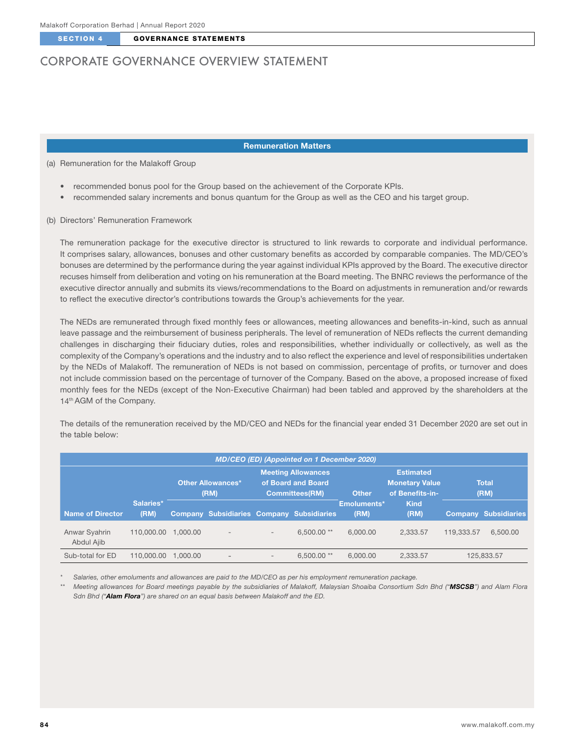# CORPORATE GOVERNANCE OVERVIEW STATEMENT

#### Remuneration Matters

#### (a) Remuneration for the Malakoff Group

- recommended bonus pool for the Group based on the achievement of the Corporate KPIs.
- recommended salary increments and bonus quantum for the Group as well as the CEO and his target group.

#### (b) Directors' Remuneration Framework

The remuneration package for the executive director is structured to link rewards to corporate and individual performance. It comprises salary, allowances, bonuses and other customary benefits as accorded by comparable companies. The MD/CEO's bonuses are determined by the performance during the year against individual KPIs approved by the Board. The executive director recuses himself from deliberation and voting on his remuneration at the Board meeting. The BNRC reviews the performance of the executive director annually and submits its views/recommendations to the Board on adjustments in remuneration and/or rewards to reflect the executive director's contributions towards the Group's achievements for the year.

The NEDs are remunerated through fixed monthly fees or allowances, meeting allowances and benefits-in-kind, such as annual leave passage and the reimbursement of business peripherals. The level of remuneration of NEDs reflects the current demanding challenges in discharging their fiduciary duties, roles and responsibilities, whether individually or collectively, as well as the complexity of the Company's operations and the industry and to also reflect the experience and level of responsibilities undertaken by the NEDs of Malakoff. The remuneration of NEDs is not based on commission, percentage of profits, or turnover and does not include commission based on the percentage of turnover of the Company. Based on the above, a proposed increase of fixed monthly fees for the NEDs (except of the Non-Executive Chairman) had been tabled and approved by the shareholders at the 14<sup>th</sup> AGM of the Company.

The details of the remuneration received by the MD/CEO and NEDs for the financial year ended 31 December 2020 are set out in the table below:

| <b>MD/CEO (ED) (Appointed on 1 December 2020)</b> |                   |                                  |                                                  |                                                                          |              |                     |                                                              |                      |                      |
|---------------------------------------------------|-------------------|----------------------------------|--------------------------------------------------|--------------------------------------------------------------------------|--------------|---------------------|--------------------------------------------------------------|----------------------|----------------------|
|                                                   |                   | <b>Other Allowances*</b><br>(RM) |                                                  | <b>Meeting Allowances</b><br>of Board and Board<br><b>Committees(RM)</b> |              | <b>Other</b>        | <b>Estimated</b><br><b>Monetary Value</b><br>of Benefits-in- | <b>Total</b><br>(RM) |                      |
| <b>Name of Director</b>                           | Salaries*<br>(RM) |                                  | <b>Company Subsidiaries Company Subsidiaries</b> |                                                                          |              | Emoluments*<br>(RM) | <b>Kind</b><br>(RM)                                          |                      | Company Subsidiaries |
| Anwar Syahrin<br>Abdul Ajib                       | 110,000,00        | 1.000.00                         | $\overline{\phantom{a}}$                         | $\overline{\phantom{0}}$                                                 | $6.500.00**$ | 6.000.00            | 2.333.57                                                     | 119.333.57           | 6,500.00             |
| Sub-total for ED                                  | 110,000,00        | 1.000.00                         | $\qquad \qquad$                                  | $\qquad \qquad$                                                          | $6.500.00**$ | 6.000.00            | 2.333.57                                                     |                      | 125.833.57           |

*\* Salaries, other emoluments and allowances are paid to the MD/CEO as per his employment remuneration package.*

*\*\* Meeting allowances for Board meetings payable by the subsidiaries of Malakoff, Malaysian Shoaiba Consortium Sdn Bhd ("MSCSB") and Alam Flora Sdn Bhd ("Alam Flora") are shared on an equal basis between Malakoff and the ED.*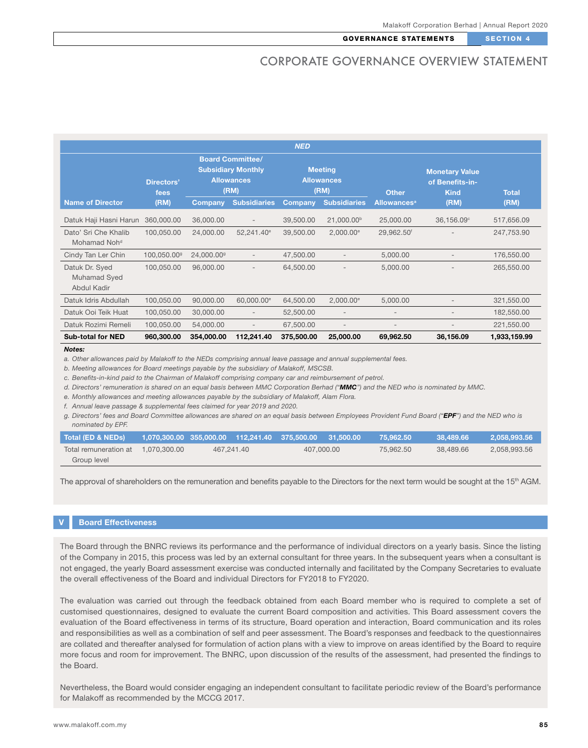|                                                  |                           |                                                                                   |                          | <b>NED</b>                                  |                          |                                                                         |            |              |
|--------------------------------------------------|---------------------------|-----------------------------------------------------------------------------------|--------------------------|---------------------------------------------|--------------------------|-------------------------------------------------------------------------|------------|--------------|
|                                                  | <b>Directors'</b><br>fees | <b>Board Committee/</b><br><b>Subsidiary Monthly</b><br><b>Allowances</b><br>(RM) |                          | <b>Meeting</b><br><b>Allowances</b><br>(RM) |                          | <b>Monetary Value</b><br>of Benefits-in-<br><b>Other</b><br><b>Kind</b> |            | <b>Total</b> |
| <b>Name of Director</b>                          | (RM)                      | Company                                                                           | <b>Subsidiaries</b>      | <b>Company</b>                              | <b>Subsidiaries</b>      | <b>Allowances</b> <sup>a</sup>                                          | (RM)       | (RM)         |
| Datuk Haji Hasni Harun                           | 360,000.00                | 36,000.00                                                                         | $\overline{\phantom{a}}$ | 39,500.00                                   | 21,000.00 <sup>b</sup>   | 25,000.00                                                               | 36,156.09° | 517,656.09   |
| Dato' Sri Che Khalib<br>Mohamad Noh <sup>d</sup> | 100,050.00                | 24,000.00                                                                         | 52,241.40 <sup>e</sup>   | 39,500.00                                   | $2,000.00$ <sup>e</sup>  | 29,962.50 <sup>f</sup>                                                  |            | 247,753.90   |
| Cindy Tan Ler Chin                               | 100.050.00 <sup>9</sup>   | 24.000.00 <sup>9</sup>                                                            | $\qquad \qquad -$        | 47,500.00                                   | $\overline{\phantom{a}}$ | 5,000.00                                                                |            | 176,550.00   |
| Datuk Dr. Syed<br>Muhamad Syed<br>Abdul Kadir    | 100,050.00                | 96,000.00                                                                         |                          | 64,500.00                                   |                          | 5,000.00                                                                |            | 265,550.00   |
| Datuk Idris Abdullah                             | 100,050.00                | 90,000.00                                                                         | 60,000.00 <sup>e</sup>   | 64,500.00                                   | $2,000.00$ <sup>e</sup>  | 5,000.00                                                                |            | 321,550.00   |
| Datuk Ooi Teik Huat                              | 100,050.00                | 30,000.00                                                                         | $\overline{\phantom{a}}$ | 52,500.00                                   | $\qquad \qquad -$        | $\qquad \qquad -$                                                       |            | 182,550.00   |
| Datuk Rozimi Remeli                              | 100.050.00                | 54,000.00                                                                         |                          | 67,500.00                                   | $\qquad \qquad -$        |                                                                         |            | 221,550.00   |
| <b>Sub-total for NED</b>                         | 960,300.00                | 354,000.00                                                                        | 112,241.40               | 375,500.00                                  | 25,000.00                | 69,962.50                                                               | 36,156.09  | 1,933,159.99 |

*Notes:*

*a. Other allowances paid by Malakoff to the NEDs comprising annual leave passage and annual supplemental fees.* 

*b. Meeting allowances for Board meetings payable by the subsidiary of Malakoff, MSCSB.*

*c. Benefits-in-kind paid to the Chairman of Malakoff comprising company car and reimbursement of petrol.* 

*d. Directors' remuneration is shared on an equal basis between MMC Corporation Berhad ("MMC") and the NED who is nominated by MMC.*

*e. Monthly allowances and meeting allowances payable by the subsidiary of Malakoff, Alam Flora.*

*f. Annual leave passage & supplemental fees claimed for year 2019 and 2020.*

*g. Directors' fees and Board Committee allowances are shared on an equal basis between Employees Provident Fund Board ("EPF") and the NED who is nominated by EPF.*

| l Total (ED & NEDs) l              | $\sqrt{1070,300.00}$ 355,000.00 112,241.40 375,500.00 31,500.00 $\sqrt{1000}$ |            |            | 75.962.50 | 38.489.66 | 2.058.993.56 |
|------------------------------------|-------------------------------------------------------------------------------|------------|------------|-----------|-----------|--------------|
| Total remuneration at 1.070.300.00 |                                                                               | 467.241.40 | 407.000.00 | 75.962.50 | 38.489.66 | 2.058.993.56 |
| Group level                        |                                                                               |            |            |           |           |              |

The approval of shareholders on the remuneration and benefits payable to the Directors for the next term would be sought at the 15<sup>th</sup> AGM.

## **Board Effectiveness**

The Board through the BNRC reviews its performance and the performance of individual directors on a yearly basis. Since the listing of the Company in 2015, this process was led by an external consultant for three years. In the subsequent years when a consultant is not engaged, the yearly Board assessment exercise was conducted internally and facilitated by the Company Secretaries to evaluate the overall effectiveness of the Board and individual Directors for FY2018 to FY2020.

The evaluation was carried out through the feedback obtained from each Board member who is required to complete a set of customised questionnaires, designed to evaluate the current Board composition and activities. This Board assessment covers the evaluation of the Board effectiveness in terms of its structure, Board operation and interaction, Board communication and its roles and responsibilities as well as a combination of self and peer assessment. The Board's responses and feedback to the questionnaires are collated and thereafter analysed for formulation of action plans with a view to improve on areas identified by the Board to require more focus and room for improvement. The BNRC, upon discussion of the results of the assessment, had presented the findings to the Board.

Nevertheless, the Board would consider engaging an independent consultant to facilitate periodic review of the Board's performance for Malakoff as recommended by the MCCG 2017.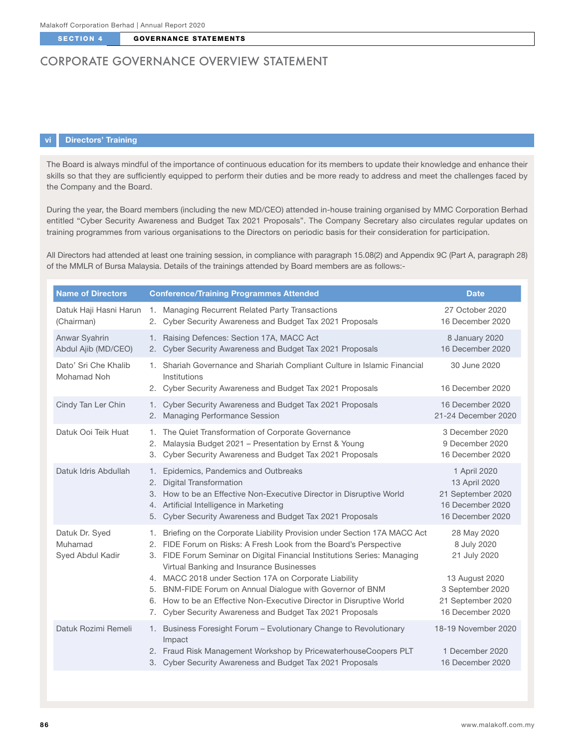# CORPORATE GOVERNANCE OVERVIEW STATEMENT

## vi Directors' Training

The Board is always mindful of the importance of continuous education for its members to update their knowledge and enhance their skills so that they are sufficiently equipped to perform their duties and be more ready to address and meet the challenges faced by the Company and the Board.

During the year, the Board members (including the new MD/CEO) attended in-house training organised by MMC Corporation Berhad entitled "Cyber Security Awareness and Budget Tax 2021 Proposals". The Company Secretary also circulates regular updates on training programmes from various organisations to the Directors on periodic basis for their consideration for participation.

All Directors had attended at least one training session, in compliance with paragraph 15.08(2) and Appendix 9C (Part A, paragraph 28) of the MMLR of Bursa Malaysia. Details of the trainings attended by Board members are as follows:-

| <b>Name of Directors</b>                      | <b>Conference/Training Programmes Attended</b>                                                                                                                                                                                                                                                                                                                                                       | <b>Date</b>                                                                                |
|-----------------------------------------------|------------------------------------------------------------------------------------------------------------------------------------------------------------------------------------------------------------------------------------------------------------------------------------------------------------------------------------------------------------------------------------------------------|--------------------------------------------------------------------------------------------|
| (Chairman)                                    | Datuk Haji Hasni Harun 1. Managing Recurrent Related Party Transactions<br>2. Cyber Security Awareness and Budget Tax 2021 Proposals                                                                                                                                                                                                                                                                 | 27 October 2020<br>16 December 2020                                                        |
| Anwar Syahrin<br>Abdul Ajib (MD/CEO)          | 1. Raising Defences: Section 17A, MACC Act<br>2. Cyber Security Awareness and Budget Tax 2021 Proposals                                                                                                                                                                                                                                                                                              | 8 January 2020<br>16 December 2020                                                         |
| Dato' Sri Che Khalib<br>Mohamad Noh           | 1. Shariah Governance and Shariah Compliant Culture in Islamic Financial<br>Institutions                                                                                                                                                                                                                                                                                                             | 30 June 2020<br>16 December 2020                                                           |
|                                               | 2. Cyber Security Awareness and Budget Tax 2021 Proposals                                                                                                                                                                                                                                                                                                                                            |                                                                                            |
| Cindy Tan Ler Chin                            | Cyber Security Awareness and Budget Tax 2021 Proposals<br>1.<br>2. Managing Performance Session                                                                                                                                                                                                                                                                                                      | 16 December 2020<br>21-24 December 2020                                                    |
| Datuk Ooi Teik Huat                           | 1. The Quiet Transformation of Corporate Governance<br>Malaysia Budget 2021 - Presentation by Ernst & Young<br>2.<br>Cyber Security Awareness and Budget Tax 2021 Proposals<br>3.                                                                                                                                                                                                                    | 3 December 2020<br>9 December 2020<br>16 December 2020                                     |
| Datuk Idris Abdullah                          | Epidemics, Pandemics and Outbreaks<br>1.<br><b>Digital Transformation</b><br>2.<br>3. How to be an Effective Non-Executive Director in Disruptive World<br>4. Artificial Intelligence in Marketing<br>5. Cyber Security Awareness and Budget Tax 2021 Proposals                                                                                                                                      | 1 April 2020<br>13 April 2020<br>21 September 2020<br>16 December 2020<br>16 December 2020 |
| Datuk Dr. Syed<br>Muhamad<br>Syed Abdul Kadir | Briefing on the Corporate Liability Provision under Section 17A MACC Act<br>1.<br>2. FIDE Forum on Risks: A Fresh Look from the Board's Perspective<br>3. FIDE Forum Seminar on Digital Financial Institutions Series: Managing<br>Virtual Banking and Insurance Businesses<br>4. MACC 2018 under Section 17A on Corporate Liability<br>BNM-FIDE Forum on Annual Dialogue with Governor of BNM<br>5. | 28 May 2020<br>8 July 2020<br>21 July 2020<br>13 August 2020<br>3 September 2020           |
|                                               | 6. How to be an Effective Non-Executive Director in Disruptive World<br>7. Cyber Security Awareness and Budget Tax 2021 Proposals                                                                                                                                                                                                                                                                    | 21 September 2020<br>16 December 2020                                                      |
| Datuk Rozimi Remeli                           | 1. Business Foresight Forum - Evolutionary Change to Revolutionary<br>Impact                                                                                                                                                                                                                                                                                                                         | 18-19 November 2020                                                                        |
|                                               | 2. Fraud Risk Management Workshop by PricewaterhouseCoopers PLT<br>3. Cyber Security Awareness and Budget Tax 2021 Proposals                                                                                                                                                                                                                                                                         | 1 December 2020<br>16 December 2020                                                        |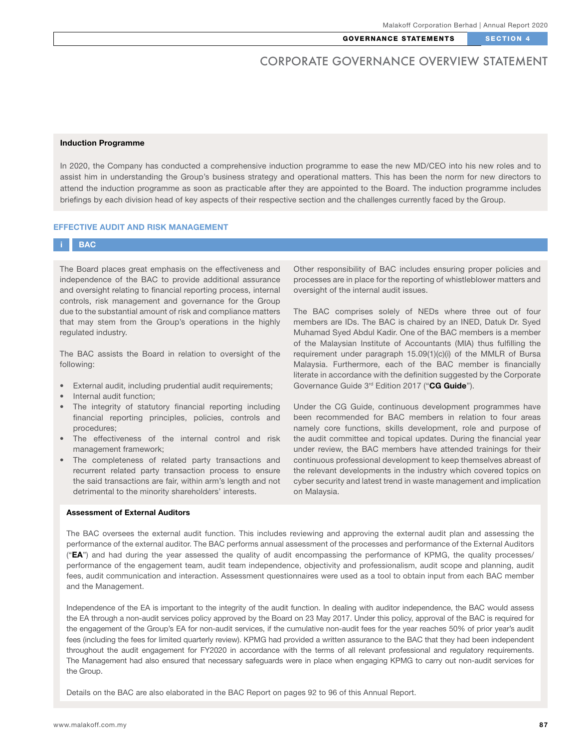### Induction Programme

In 2020, the Company has conducted a comprehensive induction programme to ease the new MD/CEO into his new roles and to assist him in understanding the Group's business strategy and operational matters. This has been the norm for new directors to attend the induction programme as soon as practicable after they are appointed to the Board. The induction programme includes briefings by each division head of key aspects of their respective section and the challenges currently faced by the Group.

#### EFFECTIVE AUDIT AND RISK MANAGEMENT

## **BAC**

The Board places great emphasis on the effectiveness and independence of the BAC to provide additional assurance and oversight relating to financial reporting process, internal controls, risk management and governance for the Group due to the substantial amount of risk and compliance matters that may stem from the Group's operations in the highly regulated industry.

The BAC assists the Board in relation to oversight of the following:

- External audit, including prudential audit requirements;
- Internal audit function;
- The integrity of statutory financial reporting including financial reporting principles, policies, controls and procedures;
- The effectiveness of the internal control and risk management framework;
- The completeness of related party transactions and recurrent related party transaction process to ensure the said transactions are fair, within arm's length and not detrimental to the minority shareholders' interests.

### Assessment of External Auditors

Other responsibility of BAC includes ensuring proper policies and processes are in place for the reporting of whistleblower matters and oversight of the internal audit issues.

The BAC comprises solely of NEDs where three out of four members are IDs. The BAC is chaired by an INED, Datuk Dr. Syed Muhamad Syed Abdul Kadir. One of the BAC members is a member of the Malaysian Institute of Accountants (MIA) thus fulfilling the requirement under paragraph 15.09(1)(c)(i) of the MMLR of Bursa Malaysia. Furthermore, each of the BAC member is financially literate in accordance with the definition suggested by the Corporate Governance Guide 3<sup>rd</sup> Edition 2017 ("CG Guide").

Under the CG Guide, continuous development programmes have been recommended for BAC members in relation to four areas namely core functions, skills development, role and purpose of the audit committee and topical updates. During the financial year under review, the BAC members have attended trainings for their continuous professional development to keep themselves abreast of the relevant developments in the industry which covered topics on cyber security and latest trend in waste management and implication on Malaysia.

The BAC oversees the external audit function. This includes reviewing and approving the external audit plan and assessing the performance of the external auditor. The BAC performs annual assessment of the processes and performance of the External Auditors (" $EA$ ") and had during the year assessed the quality of audit encompassing the performance of KPMG, the quality processes/ performance of the engagement team, audit team independence, objectivity and professionalism, audit scope and planning, audit fees, audit communication and interaction. Assessment questionnaires were used as a tool to obtain input from each BAC member and the Management.

Independence of the EA is important to the integrity of the audit function. In dealing with auditor independence, the BAC would assess the EA through a non-audit services policy approved by the Board on 23 May 2017. Under this policy, approval of the BAC is required for the engagement of the Group's EA for non-audit services, if the cumulative non-audit fees for the year reaches 50% of prior year's audit fees (including the fees for limited quarterly review). KPMG had provided a written assurance to the BAC that they had been independent throughout the audit engagement for FY2020 in accordance with the terms of all relevant professional and regulatory requirements. The Management had also ensured that necessary safeguards were in place when engaging KPMG to carry out non-audit services for the Group.

Details on the BAC are also elaborated in the BAC Report on pages 92 to 96 of this Annual Report.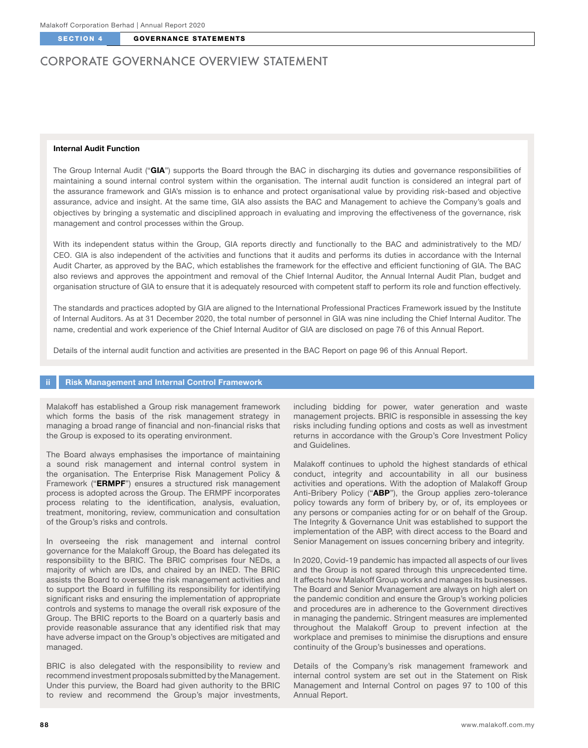# CORPORATE GOVERNANCE OVERVIEW STATEMENT

## Internal Audit Function

The Group Internal Audit ("GIA") supports the Board through the BAC in discharging its duties and governance responsibilities of maintaining a sound internal control system within the organisation. The internal audit function is considered an integral part of the assurance framework and GIA's mission is to enhance and protect organisational value by providing risk-based and objective assurance, advice and insight. At the same time, GIA also assists the BAC and Management to achieve the Company's goals and objectives by bringing a systematic and disciplined approach in evaluating and improving the effectiveness of the governance, risk management and control processes within the Group.

With its independent status within the Group, GIA reports directly and functionally to the BAC and administratively to the MD/ CEO. GIA is also independent of the activities and functions that it audits and performs its duties in accordance with the Internal Audit Charter, as approved by the BAC, which establishes the framework for the effective and efficient functioning of GIA. The BAC also reviews and approves the appointment and removal of the Chief Internal Auditor, the Annual Internal Audit Plan, budget and organisation structure of GIA to ensure that it is adequately resourced with competent staff to perform its role and function effectively.

The standards and practices adopted by GIA are aligned to the International Professional Practices Framework issued by the Institute of Internal Auditors. As at 31 December 2020, the total number of personnel in GIA was nine including the Chief Internal Auditor. The name, credential and work experience of the Chief Internal Auditor of GIA are disclosed on page 76 of this Annual Report.

Details of the internal audit function and activities are presented in the BAC Report on page 96 of this Annual Report.

## **Risk Management and Internal Control Framework**

Malakoff has established a Group risk management framework which forms the basis of the risk management strategy in managing a broad range of financial and non-financial risks that the Group is exposed to its operating environment.

The Board always emphasises the importance of maintaining a sound risk management and internal control system in the organisation. The Enterprise Risk Management Policy & Framework ("ERMPF") ensures a structured risk management process is adopted across the Group. The ERMPF incorporates process relating to the identification, analysis, evaluation, treatment, monitoring, review, communication and consultation of the Group's risks and controls.

In overseeing the risk management and internal control governance for the Malakoff Group, the Board has delegated its responsibility to the BRIC. The BRIC comprises four NEDs, a majority of which are IDs, and chaired by an INED. The BRIC assists the Board to oversee the risk management activities and to support the Board in fulfilling its responsibility for identifying significant risks and ensuring the implementation of appropriate controls and systems to manage the overall risk exposure of the Group. The BRIC reports to the Board on a quarterly basis and provide reasonable assurance that any identified risk that may have adverse impact on the Group's objectives are mitigated and managed.

BRIC is also delegated with the responsibility to review and recommend investment proposals submitted by the Management. Under this purview, the Board had given authority to the BRIC to review and recommend the Group's major investments, including bidding for power, water generation and waste management projects. BRIC is responsible in assessing the key risks including funding options and costs as well as investment returns in accordance with the Group's Core Investment Policy and Guidelines.

Malakoff continues to uphold the highest standards of ethical conduct, integrity and accountability in all our business activities and operations. With the adoption of Malakoff Group Anti-Bribery Policy ("ABP"), the Group applies zero-tolerance policy towards any form of bribery by, or of, its employees or any persons or companies acting for or on behalf of the Group. The Integrity & Governance Unit was established to support the implementation of the ABP, with direct access to the Board and Senior Management on issues concerning bribery and integrity.

In 2020, Covid-19 pandemic has impacted all aspects of our lives and the Group is not spared through this unprecedented time. It affects how Malakoff Group works and manages its businesses. The Board and Senior Mvanagement are always on high alert on the pandemic condition and ensure the Group's working policies and procedures are in adherence to the Government directives in managing the pandemic. Stringent measures are implemented throughout the Malakoff Group to prevent infection at the workplace and premises to minimise the disruptions and ensure continuity of the Group's businesses and operations.

Details of the Company's risk management framework and internal control system are set out in the Statement on Risk Management and Internal Control on pages 97 to 100 of this Annual Report.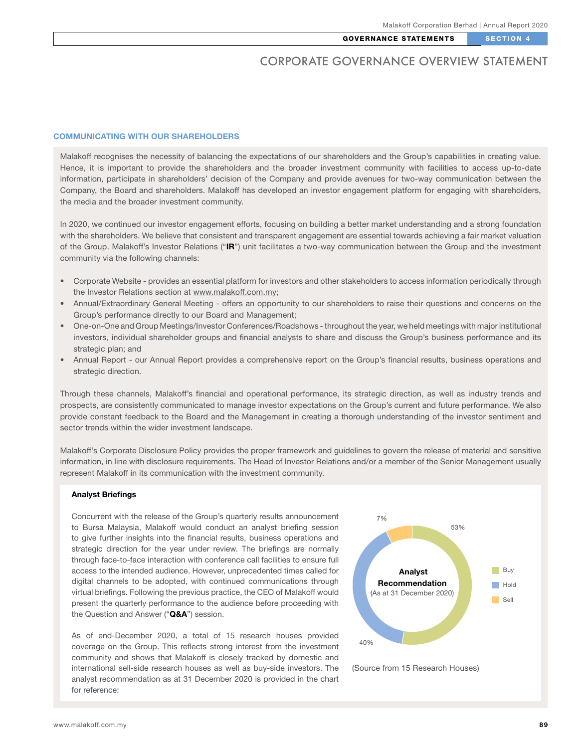### COMMUNICATING WITH OUR SHARFHOLDERS

Malakoff recognises the necessity of balancing the expectations of our shareholders and the Group's capabilities in creating value. Hence, it is important to provide the shareholders and the broader investment community with facilities to access up-to-date information, participate in shareholders' decision of the Company and provide avenues for two-way communication between the Company, the Board and shareholders. Malakoff has developed an investor engagement platform for engaging with shareholders, the media and the broader investment community.

In 2020, we continued our investor engagement efforts, focusing on building a better market understanding and a strong foundation with the shareholders. We believe that consistent and transparent engagement are essential towards achieving a fair market valuation of the Group. Malakoff's Investor Relations ("IR") unit facilitates a two-way communication between the Group and the investment community via the following channels:

- Corporate Website provides an essential platform for investors and other stakeholders to access information periodically through the Investor Relations section at www.malakoff.com.my;
- Annual/Extraordinary General Meeting offers an opportunity to our shareholders to raise their questions and concerns on the Group's performance directly to our Board and Management;
- One-on-One and Group Meetings/Investor Conferences/Roadshows throughout the year, we held meetings with major institutional investors, individual shareholder groups and financial analysts to share and discuss the Group's business performance and its strategic plan; and
- Annual Report our Annual Report provides a comprehensive report on the Group's financial results, business operations and strategic direction.

Through these channels, Malakoff's financial and operational performance, its strategic direction, as well as industry trends and prospects, are consistently communicated to manage investor expectations on the Group's current and future performance. We also provide constant feedback to the Board and the Management in creating a thorough understanding of the investor sentiment and sector trends within the wider investment landscape.

Malakoff's Corporate Disclosure Policy provides the proper framework and guidelines to govern the release of material and sensitive information, in line with disclosure requirements. The Head of Investor Relations and/or a member of the Senior Management usually represent Malakoff in its communication with the investment community.

#### Analyst Briefings

Concurrent with the release of the Group's quarterly results announcement to Bursa Malaysia, Malakoff would conduct an analyst briefing session to give further insights into the financial results, business operations and strategic direction for the year under review. The briefings are normally through face-to-face interaction with conference call facilities to ensure full access to the intended audience. However, unprecedented times called for digital channels to be adopted, with continued communications through virtual briefings. Following the previous practice, the CEO of Malakoff would present the quarterly performance to the audience before proceeding with the Question and Answer ("Q&A") session.

As of end-December 2020, a total of 15 research houses provided coverage on the Group. This reflects strong interest from the investment community and shows that Malakoff is closely tracked by domestic and international sell-side research houses as well as buy-side investors. The analyst recommendation as at 31 December 2020 is provided in the chart for reference:



(Source from 15 Research Houses)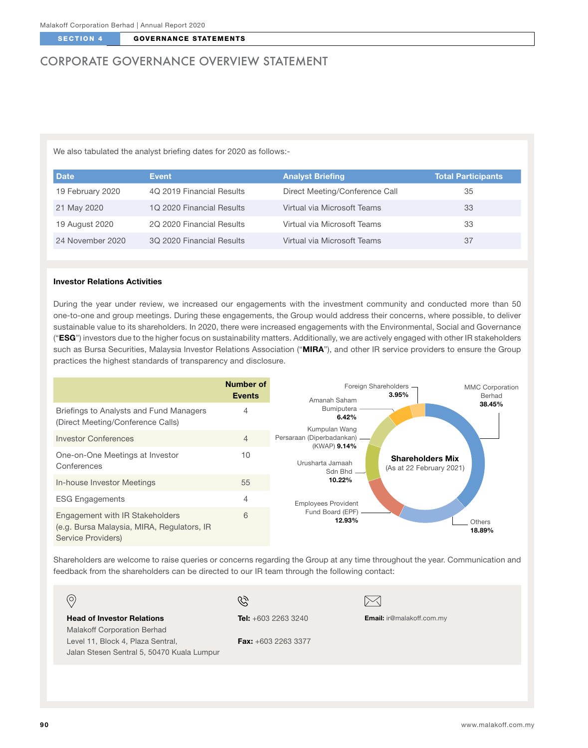# CORPORATE GOVERNANCE OVERVIEW STATEMENT

We also tabulated the analyst briefing dates for 2020 as follows:-

| <b>Date</b>      | Event                     | <b>Analyst Briefing</b>        | <b>Total Participants</b> |
|------------------|---------------------------|--------------------------------|---------------------------|
| 19 February 2020 | 4Q 2019 Financial Results | Direct Meeting/Conference Call | 35                        |
| 21 May 2020      | 1Q 2020 Financial Results | Virtual via Microsoft Teams    | 33                        |
| 19 August 2020   | 2Q 2020 Financial Results | Virtual via Microsoft Teams    | 33                        |
| 24 November 2020 | 3Q 2020 Financial Results | Virtual via Microsoft Teams    | 37                        |

## Investor Relations Activities

During the year under review, we increased our engagements with the investment community and conducted more than 50 one-to-one and group meetings. During these engagements, the Group would address their concerns, where possible, to deliver sustainable value to its shareholders. In 2020, there were increased engagements with the Environmental, Social and Governance ("ESG") investors due to the higher focus on sustainability matters. Additionally, we are actively engaged with other IR stakeholders such as Bursa Securities, Malaysia Investor Relations Association ("MIRA"), and other IR service providers to ensure the Group practices the highest standards of transparency and disclosure.



Shareholders are welcome to raise queries or concerns regarding the Group at any time throughout the year. Communication and feedback from the shareholders can be directed to our IR team through the following contact:

| $\odot$                                                                         | Q                            | $\sim$                           |
|---------------------------------------------------------------------------------|------------------------------|----------------------------------|
| <b>Head of Investor Relations</b><br>Malakoff Corporation Berhad                | <b>Tel:</b> $+603$ 2263 3240 | <b>Email:</b> ir@malakoff.com.my |
| Level 11, Block 4, Plaza Sentral,<br>Jalan Stesen Sentral 5, 50470 Kuala Lumpur | <b>Fax:</b> $+603$ 2263 3377 |                                  |